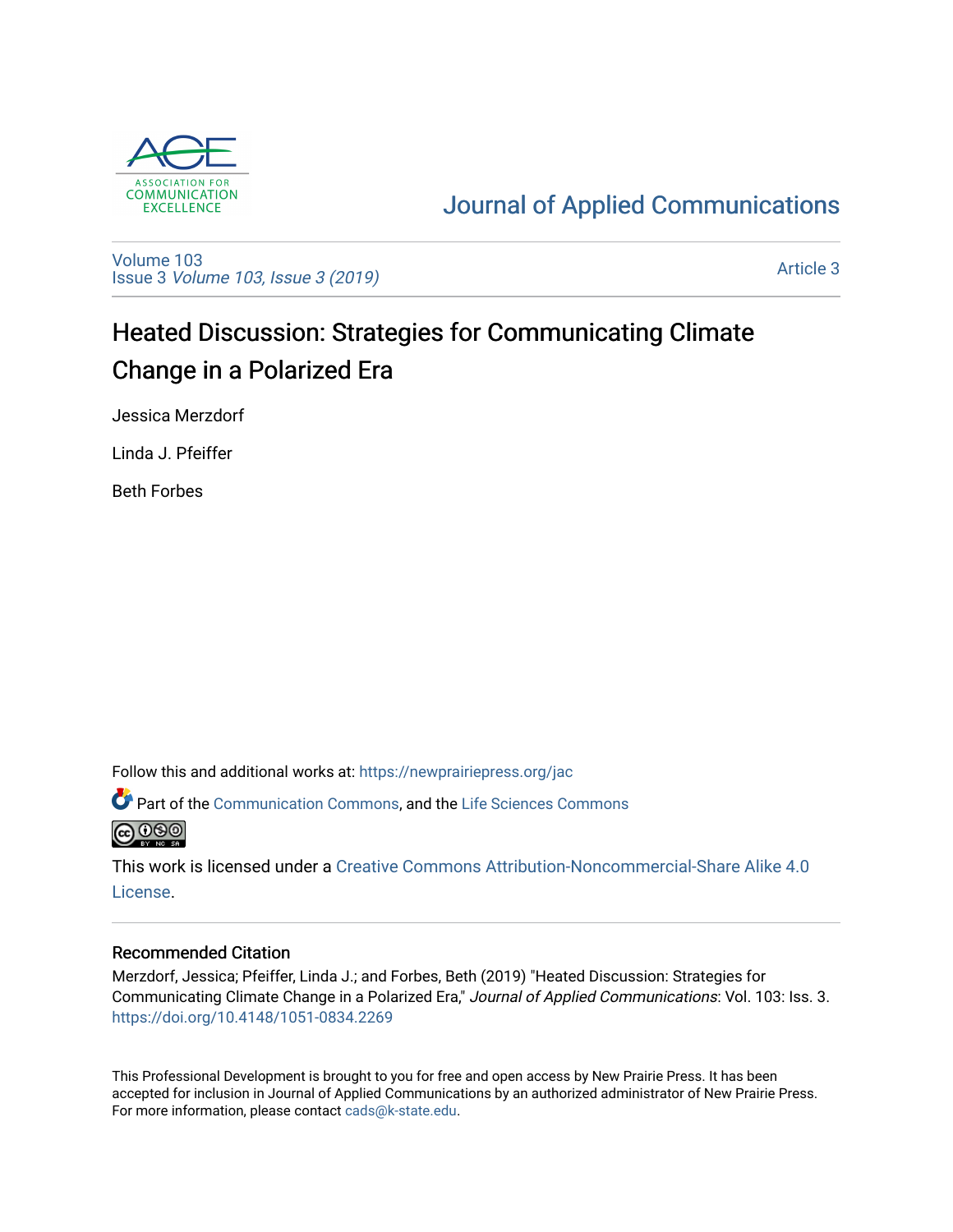

## [Journal of Applied Communications](https://newprairiepress.org/jac)

[Volume 103](https://newprairiepress.org/jac/vol103) Issue 3 [Volume 103, Issue 3 \(2019\)](https://newprairiepress.org/jac/vol103/iss3)

[Article 3](https://newprairiepress.org/jac/vol103/iss3/3) 

# Heated Discussion: Strategies for Communicating Climate Change in a Polarized Era

Jessica Merzdorf

Linda J. Pfeiffer

Beth Forbes

Follow this and additional works at: [https://newprairiepress.org/jac](https://newprairiepress.org/jac?utm_source=newprairiepress.org%2Fjac%2Fvol103%2Fiss3%2F3&utm_medium=PDF&utm_campaign=PDFCoverPages)

Part of the [Communication Commons,](http://network.bepress.com/hgg/discipline/325?utm_source=newprairiepress.org%2Fjac%2Fvol103%2Fiss3%2F3&utm_medium=PDF&utm_campaign=PDFCoverPages) and the [Life Sciences Commons](http://network.bepress.com/hgg/discipline/1016?utm_source=newprairiepress.org%2Fjac%2Fvol103%2Fiss3%2F3&utm_medium=PDF&utm_campaign=PDFCoverPages) @0ை

This work is licensed under a [Creative Commons Attribution-Noncommercial-Share Alike 4.0](https://creativecommons.org/licenses/by-nc-sa/4.0/) [License.](https://creativecommons.org/licenses/by-nc-sa/4.0/)

#### Recommended Citation

Merzdorf, Jessica; Pfeiffer, Linda J.; and Forbes, Beth (2019) "Heated Discussion: Strategies for Communicating Climate Change in a Polarized Era," Journal of Applied Communications: Vol. 103: Iss. 3. <https://doi.org/10.4148/1051-0834.2269>

This Professional Development is brought to you for free and open access by New Prairie Press. It has been accepted for inclusion in Journal of Applied Communications by an authorized administrator of New Prairie Press. For more information, please contact [cads@k-state.edu.](mailto:cads@k-state.edu)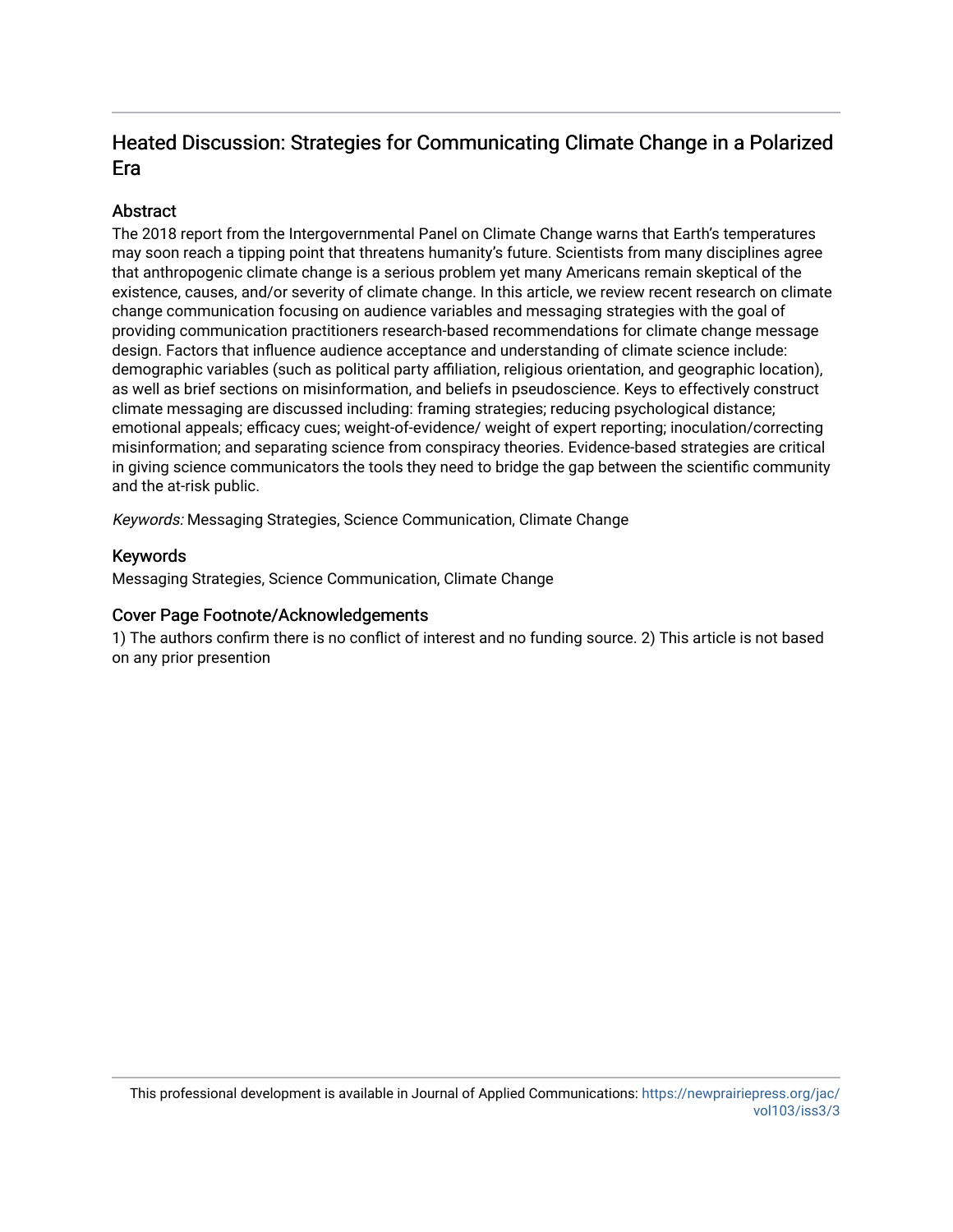## Heated Discussion: Strategies for Communicating Climate Change in a Polarized Era

## **Abstract**

The 2018 report from the Intergovernmental Panel on Climate Change warns that Earth's temperatures may soon reach a tipping point that threatens humanity's future. Scientists from many disciplines agree that anthropogenic climate change is a serious problem yet many Americans remain skeptical of the existence, causes, and/or severity of climate change. In this article, we review recent research on climate change communication focusing on audience variables and messaging strategies with the goal of providing communication practitioners research-based recommendations for climate change message design. Factors that influence audience acceptance and understanding of climate science include: demographic variables (such as political party affiliation, religious orientation, and geographic location), as well as brief sections on misinformation, and beliefs in pseudoscience. Keys to effectively construct climate messaging are discussed including: framing strategies; reducing psychological distance; emotional appeals; efficacy cues; weight-of-evidence/ weight of expert reporting; inoculation/correcting misinformation; and separating science from conspiracy theories. Evidence-based strategies are critical in giving science communicators the tools they need to bridge the gap between the scientific community and the at-risk public.

Keywords: Messaging Strategies, Science Communication, Climate Change

#### Keywords

Messaging Strategies, Science Communication, Climate Change

#### Cover Page Footnote/Acknowledgements

1) The authors confirm there is no conflict of interest and no funding source. 2) This article is not based on any prior presention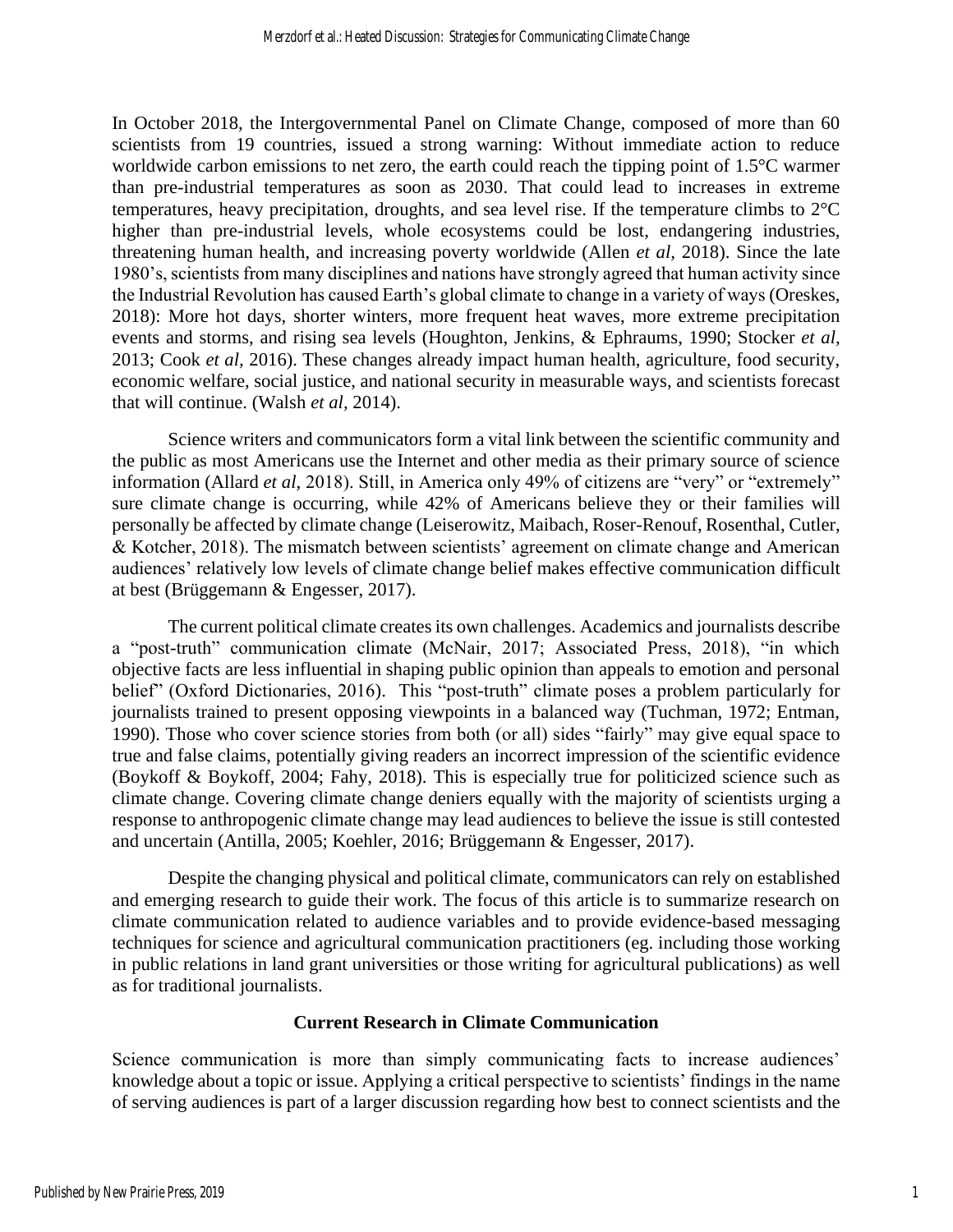In October 2018, the Intergovernmental Panel on Climate Change, composed of more than 60 scientists from 19 countries, issued a strong warning: Without immediate action to reduce worldwide carbon emissions to net zero, the earth could reach the tipping point of 1.5°C warmer than pre-industrial temperatures as soon as 2030. That could lead to increases in extreme temperatures, heavy precipitation, droughts, and sea level rise. If the temperature climbs to 2°C higher than pre-industrial levels, whole ecosystems could be lost, endangering industries, threatening human health, and increasing poverty worldwide (Allen *et al,* 2018). Since the late 1980's, scientists from many disciplines and nations have strongly agreed that human activity since the Industrial Revolution has caused Earth's global climate to change in a variety of ways (Oreskes, 2018): More hot days, shorter winters, more frequent heat waves, more extreme precipitation events and storms, and rising sea levels (Houghton, Jenkins, & Ephraums, 1990; Stocker *et al,* 2013; Cook *et al,* 2016). These changes already impact human health, agriculture, food security, economic welfare, social justice, and national security in measurable ways, and scientists forecast that will continue. (Walsh *et al,* 2014).

Science writers and communicators form a vital link between the scientific community and the public as most Americans use the Internet and other media as their primary source of science information (Allard *et al,* 2018). Still, in America only 49% of citizens are "very" or "extremely" sure climate change is occurring, while 42% of Americans believe they or their families will personally be affected by climate change (Leiserowitz, Maibach, Roser-Renouf, Rosenthal, Cutler, & Kotcher, 2018). The mismatch between scientists' agreement on climate change and American audiences' relatively low levels of climate change belief makes effective communication difficult at best (Brüggemann & Engesser, 2017).

The current political climate creates its own challenges. Academics and journalists describe a "post-truth" communication climate (McNair, 2017; Associated Press, 2018), "in which objective facts are less influential in shaping public opinion than appeals to emotion and personal belief" (Oxford Dictionaries, 2016). This "post-truth" climate poses a problem particularly for journalists trained to present opposing viewpoints in a balanced way (Tuchman, 1972; Entman, 1990). Those who cover science stories from both (or all) sides "fairly" may give equal space to true and false claims, potentially giving readers an incorrect impression of the scientific evidence (Boykoff & Boykoff, 2004; Fahy, 2018). This is especially true for politicized science such as climate change. Covering climate change deniers equally with the majority of scientists urging a response to anthropogenic climate change may lead audiences to believe the issue is still contested and uncertain (Antilla, 2005; Koehler, 2016; Brüggemann & Engesser, 2017).

Despite the changing physical and political climate, communicators can rely on established and emerging research to guide their work. The focus of this article is to summarize research on climate communication related to audience variables and to provide evidence-based messaging techniques for science and agricultural communication practitioners (eg. including those working in public relations in land grant universities or those writing for agricultural publications) as well as for traditional journalists.

#### **Current Research in Climate Communication**

Science communication is more than simply communicating facts to increase audiences' knowledge about a topic or issue. Applying a critical perspective to scientists' findings in the name of serving audiences is part of a larger discussion regarding how best to connect scientists and the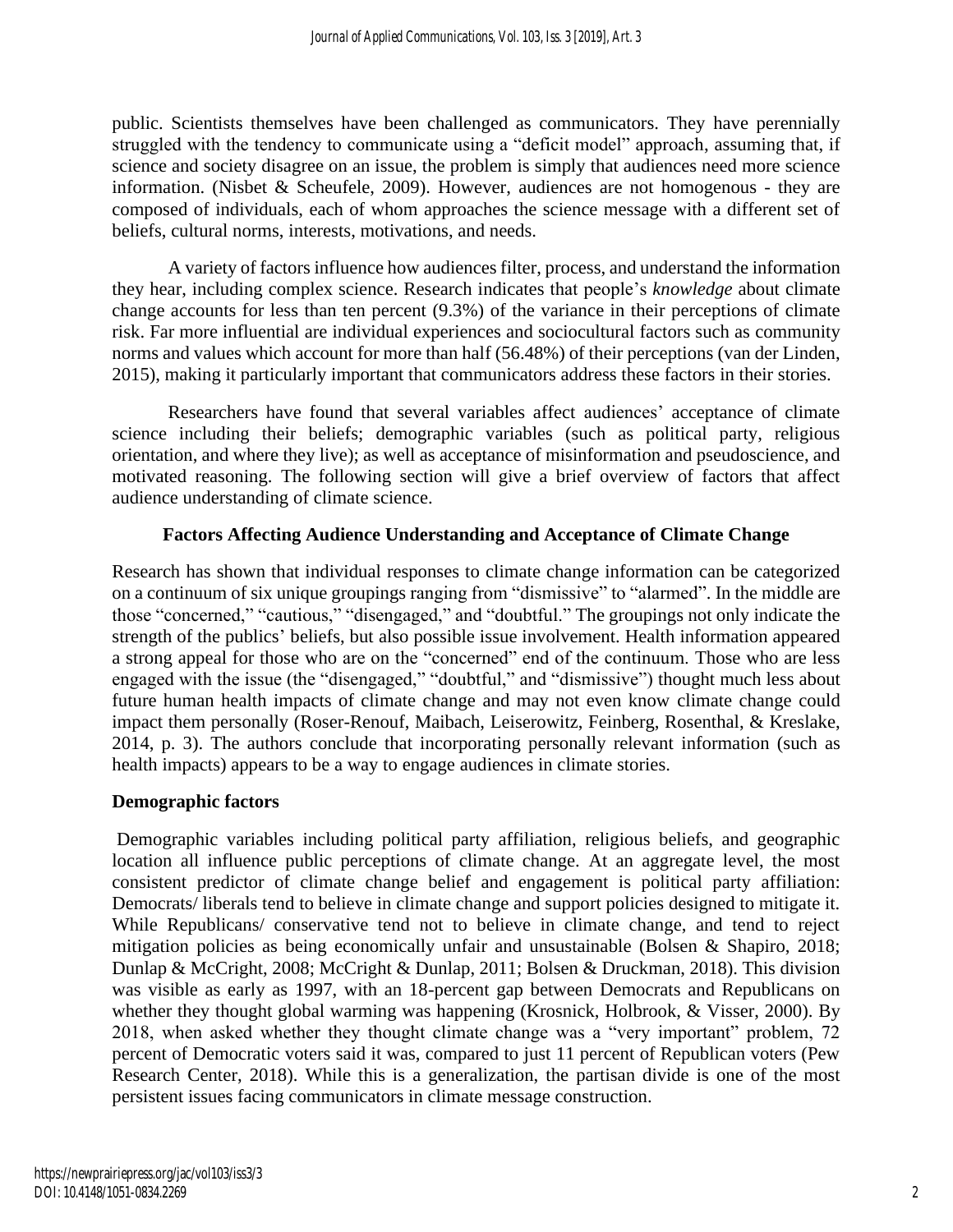public. Scientists themselves have been challenged as communicators. They have perennially struggled with the tendency to communicate using a "deficit model" approach, assuming that, if science and society disagree on an issue, the problem is simply that audiences need more science information. (Nisbet & Scheufele, 2009). However, audiences are not homogenous - they are composed of individuals, each of whom approaches the science message with a different set of beliefs, cultural norms, interests, motivations, and needs.

A variety of factors influence how audiences filter, process, and understand the information they hear, including complex science. Research indicates that people's *knowledge* about climate change accounts for less than ten percent (9.3%) of the variance in their perceptions of climate risk. Far more influential are individual experiences and sociocultural factors such as community norms and values which account for more than half (56.48%) of their perceptions (van der Linden, 2015), making it particularly important that communicators address these factors in their stories.

Researchers have found that several variables affect audiences' acceptance of climate science including their beliefs; demographic variables (such as political party, religious orientation, and where they live); as well as acceptance of misinformation and pseudoscience, and motivated reasoning. The following section will give a brief overview of factors that affect audience understanding of climate science.

## **Factors Affecting Audience Understanding and Acceptance of Climate Change**

Research has shown that individual responses to climate change information can be categorized on a continuum of six unique groupings ranging from "dismissive" to "alarmed". In the middle are those "concerned," "cautious," "disengaged," and "doubtful." The groupings not only indicate the strength of the publics' beliefs, but also possible issue involvement. Health information appeared a strong appeal for those who are on the "concerned" end of the continuum. Those who are less engaged with the issue (the "disengaged," "doubtful," and "dismissive") thought much less about future human health impacts of climate change and may not even know climate change could impact them personally (Roser-Renouf, Maibach, Leiserowitz, Feinberg, Rosenthal, & Kreslake, 2014, p. 3). The authors conclude that incorporating personally relevant information (such as health impacts) appears to be a way to engage audiences in climate stories.

## **Demographic factors**

Demographic variables including political party affiliation, religious beliefs, and geographic location all influence public perceptions of climate change. At an aggregate level, the most consistent predictor of climate change belief and engagement is political party affiliation: Democrats/ liberals tend to believe in climate change and support policies designed to mitigate it. While Republicans/ conservative tend not to believe in climate change, and tend to reject mitigation policies as being economically unfair and unsustainable (Bolsen & Shapiro, 2018; Dunlap & McCright, 2008; McCright & Dunlap, 2011; Bolsen & Druckman, 2018). This division was visible as early as 1997, with an 18-percent gap between Democrats and Republicans on whether they thought global warming was happening (Krosnick, Holbrook, & Visser, 2000). By 2018, when asked whether they thought climate change was a "very important" problem, 72 percent of Democratic voters said it was, compared to just 11 percent of Republican voters (Pew Research Center, 2018). While this is a generalization, the partisan divide is one of the most persistent issues facing communicators in climate message construction.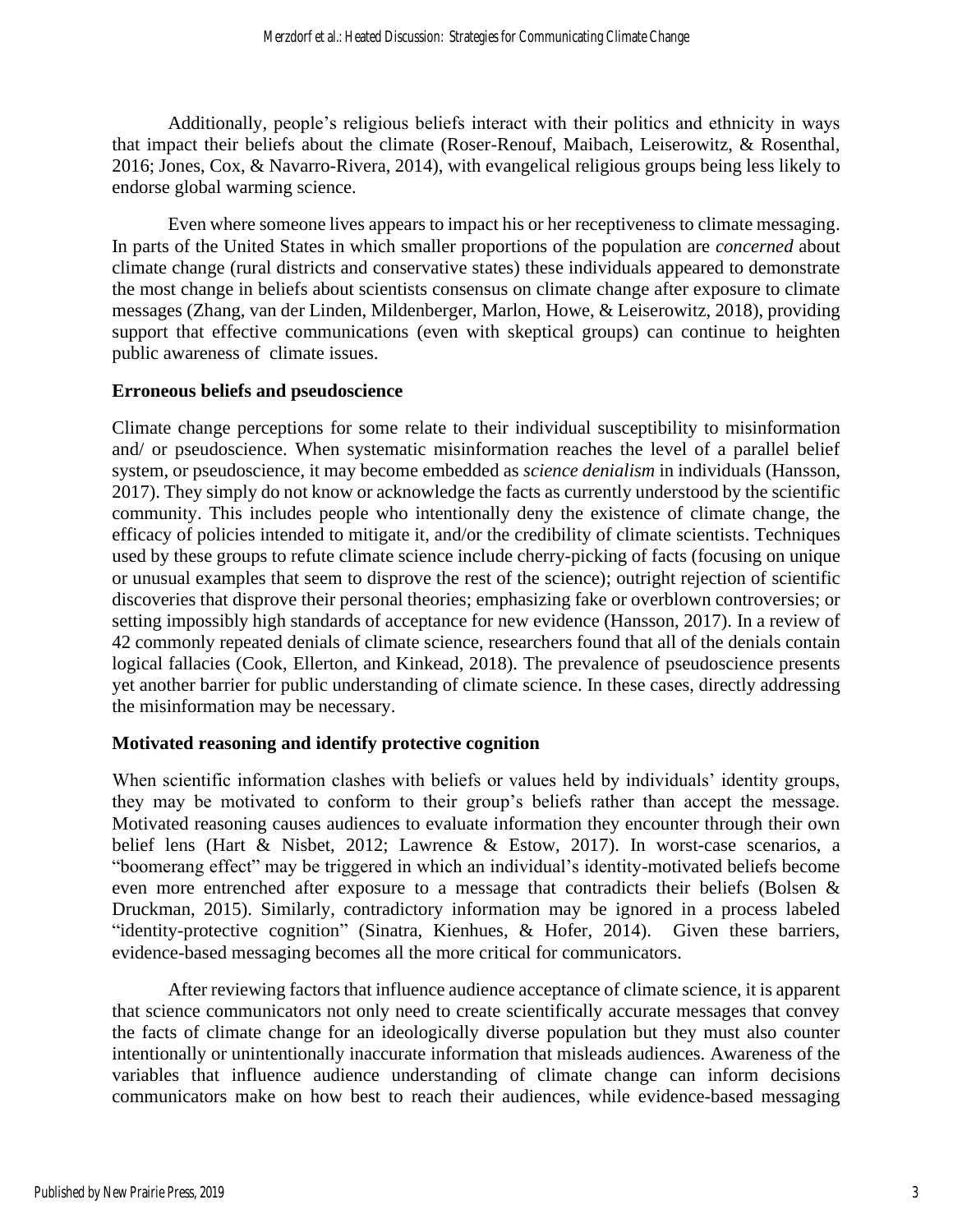Additionally, people's religious beliefs interact with their politics and ethnicity in ways that impact their beliefs about the climate (Roser-Renouf, Maibach, Leiserowitz, & Rosenthal, 2016; Jones, Cox, & Navarro-Rivera, 2014), with evangelical religious groups being less likely to endorse global warming science.

Even where someone lives appears to impact his or her receptiveness to climate messaging. In parts of the United States in which smaller proportions of the population are *concerned* about climate change (rural districts and conservative states) these individuals appeared to demonstrate the most change in beliefs about scientists consensus on climate change after exposure to climate messages (Zhang, van der Linden, Mildenberger, Marlon, Howe, & Leiserowitz, 2018), providing support that effective communications (even with skeptical groups) can continue to heighten public awareness of climate issues.

#### **Erroneous beliefs and pseudoscience**

Climate change perceptions for some relate to their individual susceptibility to misinformation and/ or pseudoscience. When systematic misinformation reaches the level of a parallel belief system, or pseudoscience, it may become embedded as *science denialism* in individuals (Hansson, 2017). They simply do not know or acknowledge the facts as currently understood by the scientific community. This includes people who intentionally deny the existence of climate change, the efficacy of policies intended to mitigate it, and/or the credibility of climate scientists. Techniques used by these groups to refute climate science include cherry-picking of facts (focusing on unique or unusual examples that seem to disprove the rest of the science); outright rejection of scientific discoveries that disprove their personal theories; emphasizing fake or overblown controversies; or setting impossibly high standards of acceptance for new evidence (Hansson, 2017). In a review of 42 commonly repeated denials of climate science, researchers found that all of the denials contain logical fallacies (Cook, Ellerton, and Kinkead, 2018). The prevalence of pseudoscience presents yet another barrier for public understanding of climate science. In these cases, directly addressing the misinformation may be necessary.

## **Motivated reasoning and identify protective cognition**

When scientific information clashes with beliefs or values held by individuals' identity groups, they may be motivated to conform to their group's beliefs rather than accept the message. Motivated reasoning causes audiences to evaluate information they encounter through their own belief lens (Hart & Nisbet, 2012; Lawrence & Estow, 2017). In worst-case scenarios, a "boomerang effect" may be triggered in which an individual's identity-motivated beliefs become even more entrenched after exposure to a message that contradicts their beliefs (Bolsen & Druckman, 2015). Similarly, contradictory information may be ignored in a process labeled "identity-protective cognition" (Sinatra, Kienhues, & Hofer, 2014). Given these barriers, evidence-based messaging becomes all the more critical for communicators.

After reviewing factors that influence audience acceptance of climate science, it is apparent that science communicators not only need to create scientifically accurate messages that convey the facts of climate change for an ideologically diverse population but they must also counter intentionally or unintentionally inaccurate information that misleads audiences. Awareness of the variables that influence audience understanding of climate change can inform decisions communicators make on how best to reach their audiences, while evidence-based messaging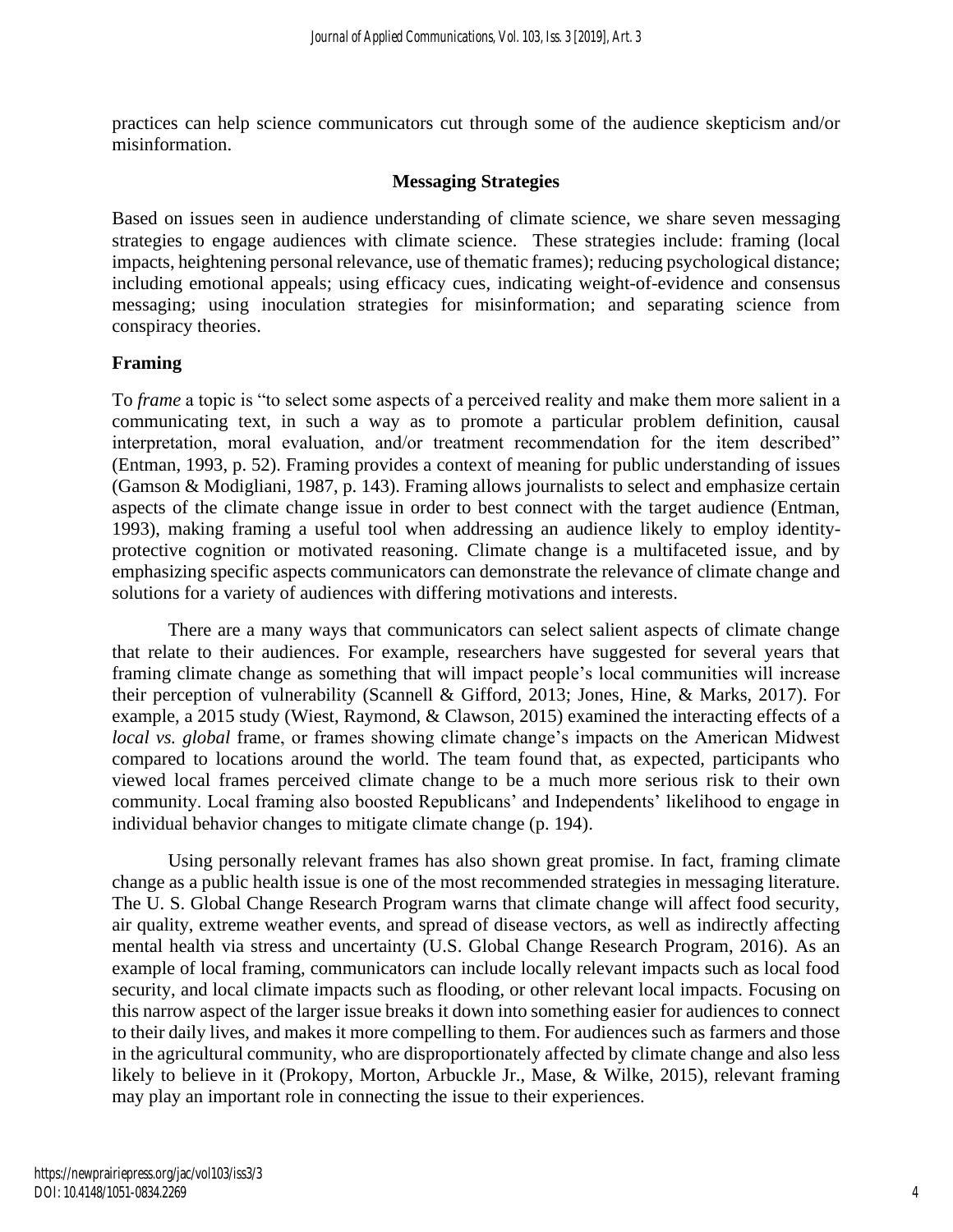practices can help science communicators cut through some of the audience skepticism and/or misinformation.

#### **Messaging Strategies**

Based on issues seen in audience understanding of climate science, we share seven messaging strategies to engage audiences with climate science. These strategies include: framing (local impacts, heightening personal relevance, use of thematic frames); reducing psychological distance; including emotional appeals; using efficacy cues, indicating weight-of-evidence and consensus messaging; using inoculation strategies for misinformation; and separating science from conspiracy theories.

#### **Framing**

To *frame* a topic is "to select some aspects of a perceived reality and make them more salient in a communicating text, in such a way as to promote a particular problem definition, causal interpretation, moral evaluation, and/or treatment recommendation for the item described" (Entman, 1993, p. 52). Framing provides a context of meaning for public understanding of issues (Gamson & Modigliani, 1987, p. 143). Framing allows journalists to select and emphasize certain aspects of the climate change issue in order to best connect with the target audience (Entman, 1993), making framing a useful tool when addressing an audience likely to employ identityprotective cognition or motivated reasoning. Climate change is a multifaceted issue, and by emphasizing specific aspects communicators can demonstrate the relevance of climate change and solutions for a variety of audiences with differing motivations and interests.

There are a many ways that communicators can select salient aspects of climate change that relate to their audiences. For example, researchers have suggested for several years that framing climate change as something that will impact people's local communities will increase their perception of vulnerability (Scannell & Gifford, 2013; Jones, Hine, & Marks, 2017). For example, a 2015 study (Wiest, Raymond, & Clawson, 2015) examined the interacting effects of a *local vs. global* frame, or frames showing climate change's impacts on the American Midwest compared to locations around the world. The team found that, as expected, participants who viewed local frames perceived climate change to be a much more serious risk to their own community. Local framing also boosted Republicans' and Independents' likelihood to engage in individual behavior changes to mitigate climate change (p. 194).

Using personally relevant frames has also shown great promise. In fact, framing climate change as a public health issue is one of the most recommended strategies in messaging literature. The U. S. Global Change Research Program warns that climate change will affect food security, air quality, extreme weather events, and spread of disease vectors, as well as indirectly affecting mental health via stress and uncertainty (U.S. Global Change Research Program, 2016). As an example of local framing, communicators can include locally relevant impacts such as local food security, and local climate impacts such as flooding, or other relevant local impacts. Focusing on this narrow aspect of the larger issue breaks it down into something easier for audiences to connect to their daily lives, and makes it more compelling to them. For audiences such as farmers and those in the agricultural community, who are disproportionately affected by climate change and also less likely to believe in it (Prokopy, Morton, Arbuckle Jr., Mase, & Wilke, 2015), relevant framing may play an important role in connecting the issue to their experiences.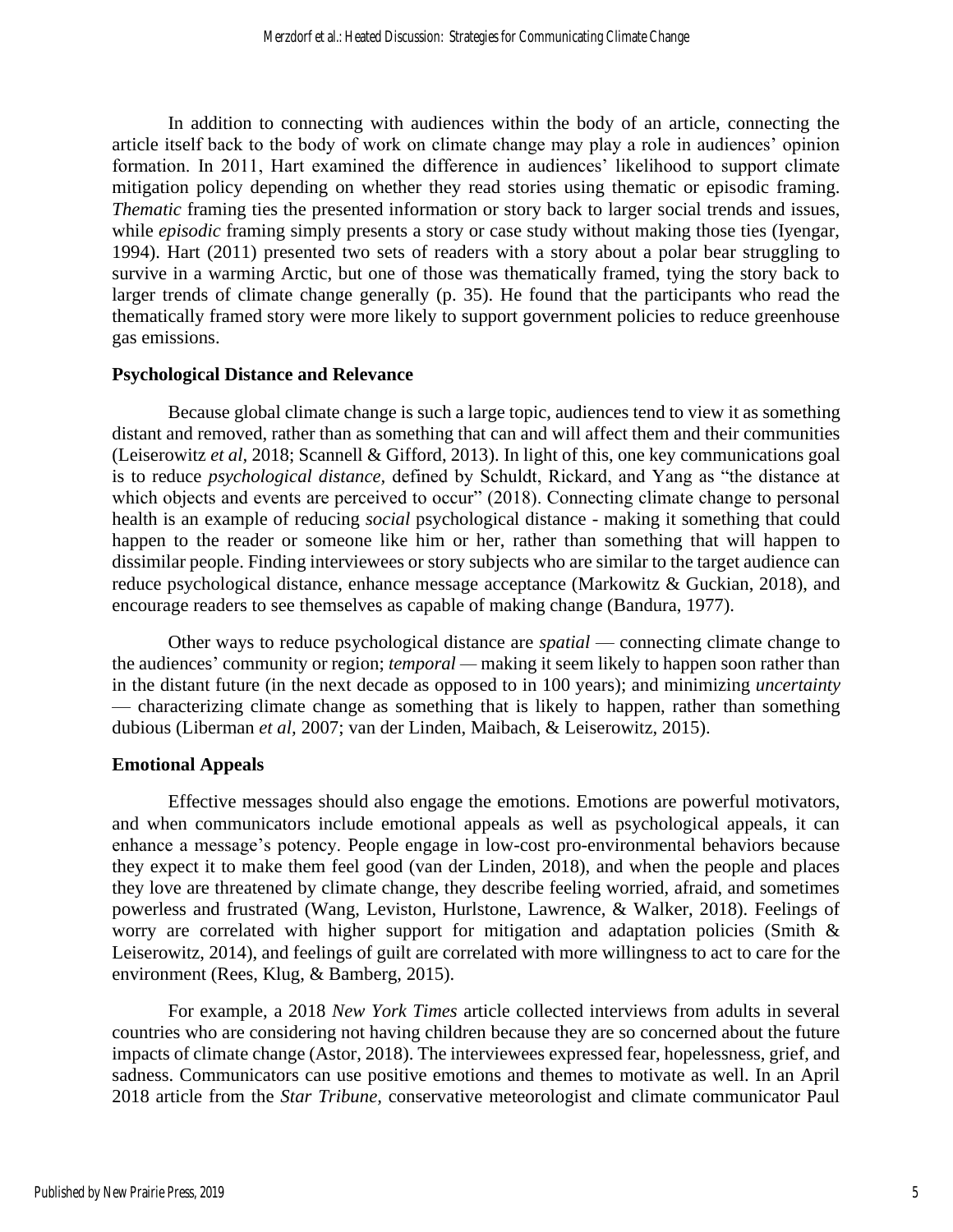In addition to connecting with audiences within the body of an article, connecting the article itself back to the body of work on climate change may play a role in audiences' opinion formation. In 2011, Hart examined the difference in audiences' likelihood to support climate mitigation policy depending on whether they read stories using thematic or episodic framing. *Thematic framing ties the presented information or story back to larger social trends and issues,* while *episodic* framing simply presents a story or case study without making those ties (Iyengar, 1994). Hart (2011) presented two sets of readers with a story about a polar bear struggling to survive in a warming Arctic, but one of those was thematically framed, tying the story back to larger trends of climate change generally (p. 35). He found that the participants who read the thematically framed story were more likely to support government policies to reduce greenhouse gas emissions.

#### **Psychological Distance and Relevance**

Because global climate change is such a large topic, audiences tend to view it as something distant and removed, rather than as something that can and will affect them and their communities (Leiserowitz *et al,* 2018; Scannell & Gifford, 2013). In light of this, one key communications goal is to reduce *psychological distance,* defined by Schuldt, Rickard, and Yang as "the distance at which objects and events are perceived to occur" (2018). Connecting climate change to personal health is an example of reducing *social* psychological distance - making it something that could happen to the reader or someone like him or her, rather than something that will happen to dissimilar people. Finding interviewees or story subjects who are similar to the target audience can reduce psychological distance, enhance message acceptance (Markowitz & Guckian, 2018), and encourage readers to see themselves as capable of making change (Bandura, 1977).

Other ways to reduce psychological distance are *spatial* — connecting climate change to the audiences' community or region; *temporal —* making it seem likely to happen soon rather than in the distant future (in the next decade as opposed to in 100 years); and minimizing *uncertainty* — characterizing climate change as something that is likely to happen, rather than something dubious (Liberman *et al,* 2007; van der Linden, Maibach, & Leiserowitz, 2015).

#### **Emotional Appeals**

Effective messages should also engage the emotions. Emotions are powerful motivators, and when communicators include emotional appeals as well as psychological appeals, it can enhance a message's potency. People engage in low-cost pro-environmental behaviors because they expect it to make them feel good (van der Linden, 2018), and when the people and places they love are threatened by climate change, they describe feeling worried, afraid, and sometimes powerless and frustrated (Wang, Leviston, Hurlstone, Lawrence, & Walker, 2018). Feelings of worry are correlated with higher support for mitigation and adaptation policies (Smith & Leiserowitz, 2014), and feelings of guilt are correlated with more willingness to act to care for the environment (Rees, Klug, & Bamberg, 2015).

For example, a 2018 *New York Times* article collected interviews from adults in several countries who are considering not having children because they are so concerned about the future impacts of climate change (Astor, 2018). The interviewees expressed fear, hopelessness, grief, and sadness. Communicators can use positive emotions and themes to motivate as well. In an April 2018 article from the *Star Tribune,* conservative meteorologist and climate communicator Paul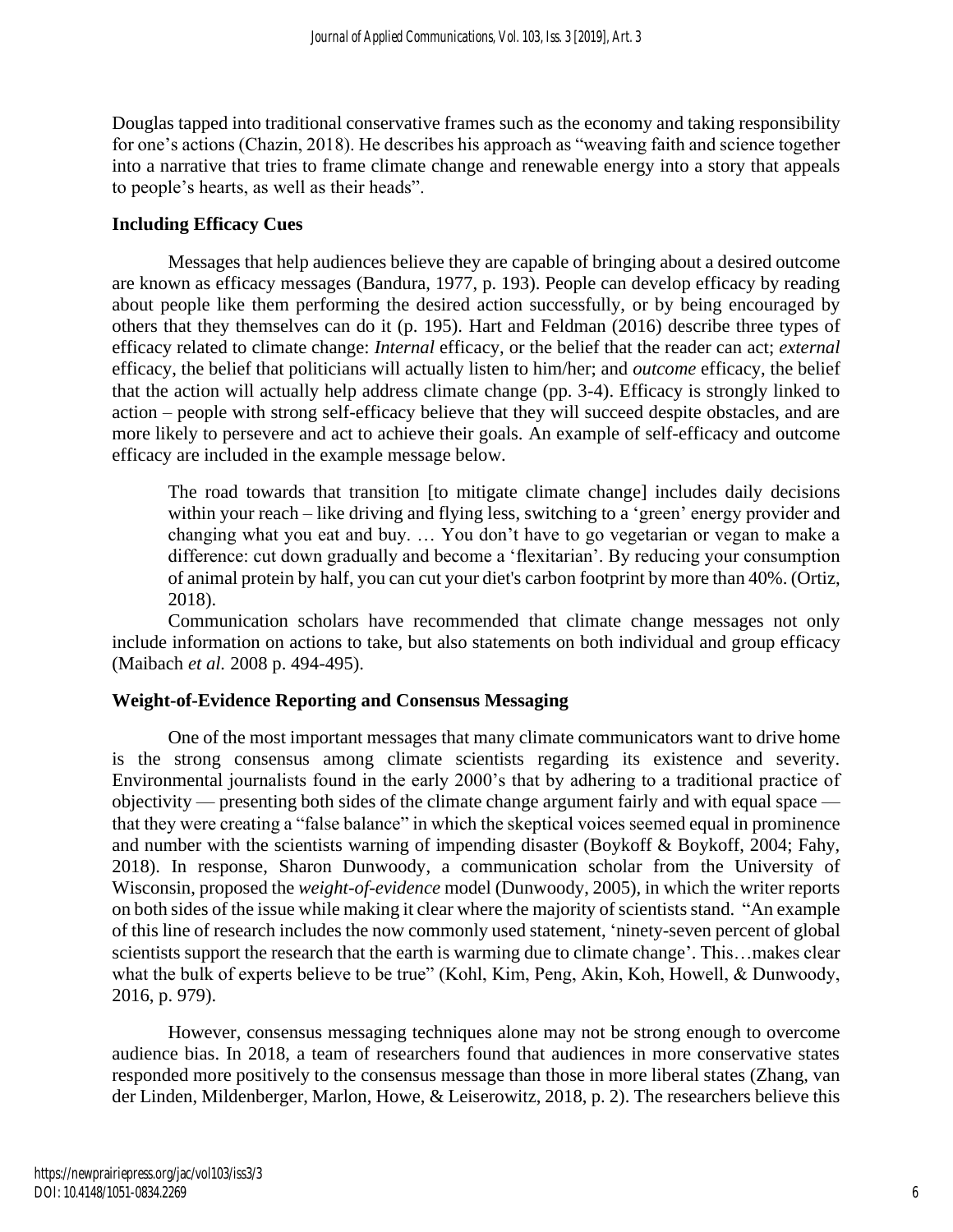Douglas tapped into traditional conservative frames such as the economy and taking responsibility for one's actions (Chazin, 2018). He describes his approach as "weaving faith and science together into a narrative that tries to frame climate change and renewable energy into a story that appeals to people's hearts, as well as their heads".

#### **Including Efficacy Cues**

Messages that help audiences believe they are capable of bringing about a desired outcome are known as efficacy messages (Bandura, 1977, p. 193). People can develop efficacy by reading about people like them performing the desired action successfully, or by being encouraged by others that they themselves can do it (p. 195). Hart and Feldman (2016) describe three types of efficacy related to climate change: *Internal* efficacy, or the belief that the reader can act; *external*  efficacy, the belief that politicians will actually listen to him/her; and *outcome* efficacy, the belief that the action will actually help address climate change (pp. 3-4). Efficacy is strongly linked to action – people with strong self-efficacy believe that they will succeed despite obstacles, and are more likely to persevere and act to achieve their goals. An example of self-efficacy and outcome efficacy are included in the example message below.

The road towards that transition [to mitigate climate change] includes daily decisions within your reach – like driving and flying less, switching to a 'green' energy provider and changing what you eat and buy. … You don't have to go vegetarian or vegan to make a difference: cut down gradually and become a 'flexitarian'. By reducing your consumption of animal protein by half, you can cut your diet's carbon footprint by more than 40%. (Ortiz, 2018).

Communication scholars have recommended that climate change messages not only include information on actions to take, but also statements on both individual and group efficacy (Maibach *et al.* 2008 p. 494-495).

#### **Weight-of-Evidence Reporting and Consensus Messaging**

One of the most important messages that many climate communicators want to drive home is the strong consensus among climate scientists regarding its existence and severity. Environmental journalists found in the early 2000's that by adhering to a traditional practice of objectivity — presenting both sides of the climate change argument fairly and with equal space that they were creating a "false balance" in which the skeptical voices seemed equal in prominence and number with the scientists warning of impending disaster (Boykoff & Boykoff, 2004; Fahy, 2018). In response, Sharon Dunwoody, a communication scholar from the University of Wisconsin, proposed the *weight-of-evidence* model (Dunwoody, 2005), in which the writer reports on both sides of the issue while making it clear where the majority of scientists stand. "An example of this line of research includes the now commonly used statement, 'ninety-seven percent of global scientists support the research that the earth is warming due to climate change'. This...makes clear what the bulk of experts believe to be true" (Kohl, Kim, Peng, Akin, Koh, Howell, & Dunwoody, 2016, p. 979).

However, consensus messaging techniques alone may not be strong enough to overcome audience bias. In 2018, a team of researchers found that audiences in more conservative states responded more positively to the consensus message than those in more liberal states (Zhang, van der Linden, Mildenberger, Marlon, Howe, & Leiserowitz, 2018, p. 2). The researchers believe this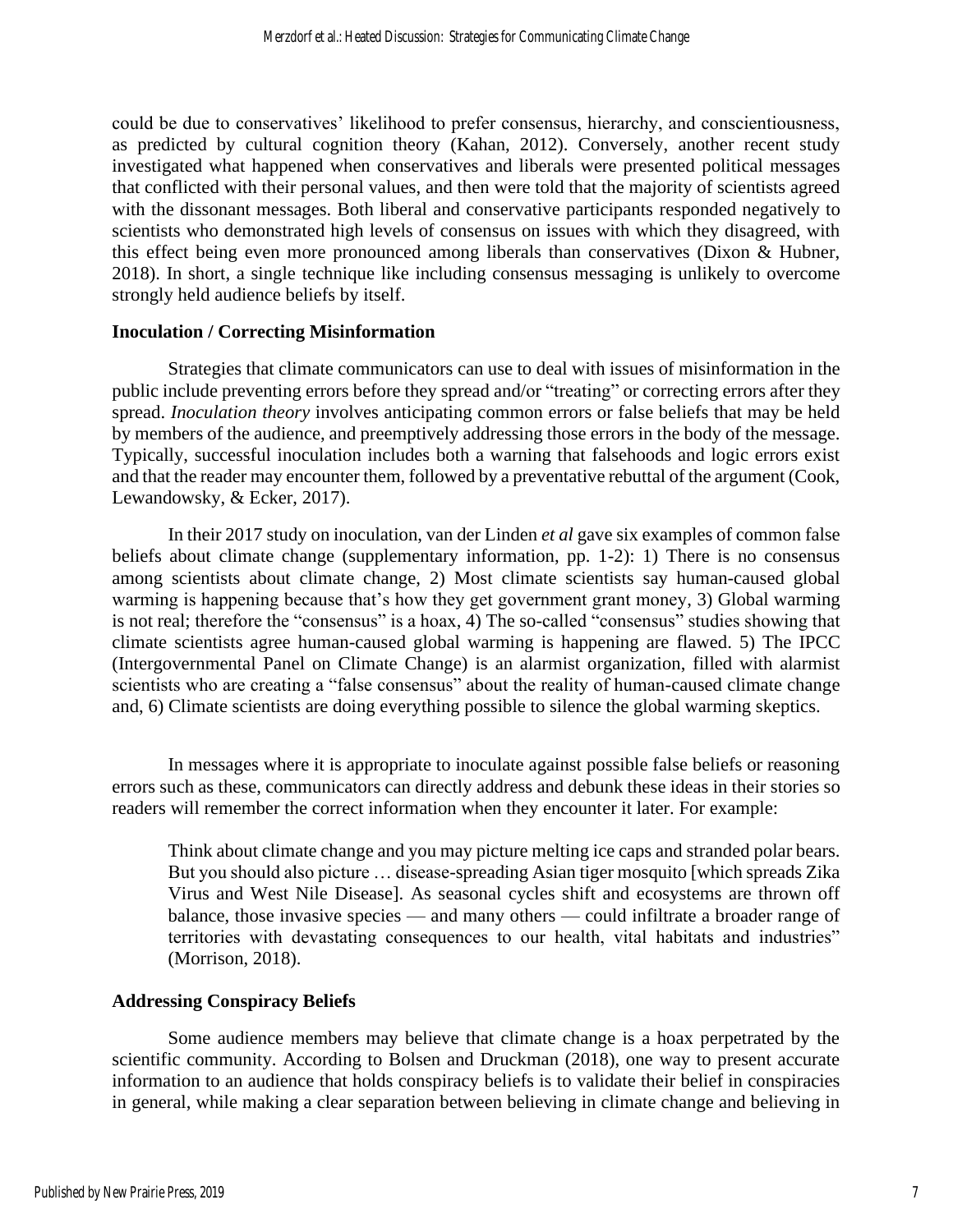could be due to conservatives' likelihood to prefer consensus, hierarchy, and conscientiousness, as predicted by cultural cognition theory (Kahan, 2012). Conversely, another recent study investigated what happened when conservatives and liberals were presented political messages that conflicted with their personal values, and then were told that the majority of scientists agreed with the dissonant messages. Both liberal and conservative participants responded negatively to scientists who demonstrated high levels of consensus on issues with which they disagreed, with this effect being even more pronounced among liberals than conservatives (Dixon & Hubner, 2018). In short, a single technique like including consensus messaging is unlikely to overcome strongly held audience beliefs by itself.

#### **Inoculation / Correcting Misinformation**

Strategies that climate communicators can use to deal with issues of misinformation in the public include preventing errors before they spread and/or "treating" or correcting errors after they spread. *Inoculation theory* involves anticipating common errors or false beliefs that may be held by members of the audience, and preemptively addressing those errors in the body of the message. Typically, successful inoculation includes both a warning that falsehoods and logic errors exist and that the reader may encounter them, followed by a preventative rebuttal of the argument (Cook, Lewandowsky, & Ecker, 2017).

In their 2017 study on inoculation, van der Linden *et al* gave six examples of common false beliefs about climate change (supplementary information, pp. 1-2): 1) There is no consensus among scientists about climate change, 2) Most climate scientists say human-caused global warming is happening because that's how they get government grant money, 3) Global warming is not real; therefore the "consensus" is a hoax, 4) The so-called "consensus" studies showing that climate scientists agree human-caused global warming is happening are flawed. 5) The IPCC (Intergovernmental Panel on Climate Change) is an alarmist organization, filled with alarmist scientists who are creating a "false consensus" about the reality of human-caused climate change and, 6) Climate scientists are doing everything possible to silence the global warming skeptics.

In messages where it is appropriate to inoculate against possible false beliefs or reasoning errors such as these, communicators can directly address and debunk these ideas in their stories so readers will remember the correct information when they encounter it later. For example:

Think about climate change and you may picture melting ice caps and stranded polar bears. But you should also picture … disease-spreading Asian tiger mosquito [which spreads Zika Virus and West Nile Disease]. As seasonal cycles shift and ecosystems are thrown off balance, those invasive species — and many others — could infiltrate a broader range of territories with devastating consequences to our health, vital habitats and industries" (Morrison, 2018).

#### **Addressing Conspiracy Beliefs**

Some audience members may believe that climate change is a hoax perpetrated by the scientific community. According to Bolsen and Druckman (2018), one way to present accurate information to an audience that holds conspiracy beliefs is to validate their belief in conspiracies in general, while making a clear separation between believing in climate change and believing in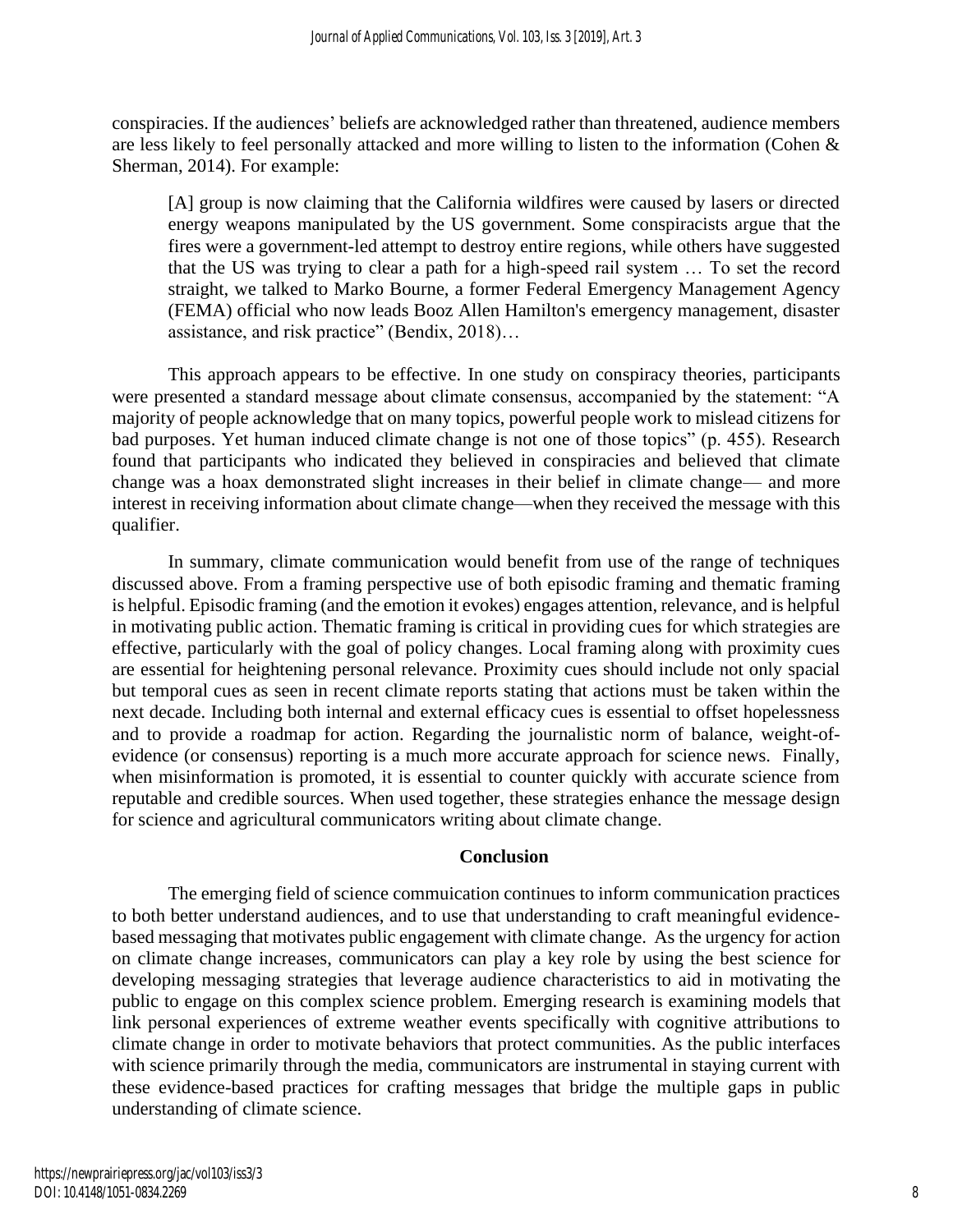conspiracies. If the audiences' beliefs are acknowledged rather than threatened, audience members are less likely to feel personally attacked and more willing to listen to the information (Cohen & Sherman, 2014). For example:

[A] group is now claiming that the California wildfires were caused by lasers or directed energy weapons manipulated by the US government. Some conspiracists argue that the fires were a government-led attempt to destroy entire regions, while others have suggested that the US was trying to clear a path for a high-speed rail system … To set the record straight, we talked to Marko Bourne, a former Federal Emergency Management Agency (FEMA) official who now leads Booz Allen Hamilton's emergency management, disaster assistance, and risk practice" (Bendix, 2018)…

This approach appears to be effective. In one study on conspiracy theories, participants were presented a standard message about climate consensus, accompanied by the statement: "A majority of people acknowledge that on many topics, powerful people work to mislead citizens for bad purposes. Yet human induced climate change is not one of those topics" (p. 455). Research found that participants who indicated they believed in conspiracies and believed that climate change was a hoax demonstrated slight increases in their belief in climate change— and more interest in receiving information about climate change—when they received the message with this qualifier.

In summary, climate communication would benefit from use of the range of techniques discussed above. From a framing perspective use of both episodic framing and thematic framing is helpful. Episodic framing (and the emotion it evokes) engages attention, relevance, and is helpful in motivating public action. Thematic framing is critical in providing cues for which strategies are effective, particularly with the goal of policy changes. Local framing along with proximity cues are essential for heightening personal relevance. Proximity cues should include not only spacial but temporal cues as seen in recent climate reports stating that actions must be taken within the next decade. Including both internal and external efficacy cues is essential to offset hopelessness and to provide a roadmap for action. Regarding the journalistic norm of balance, weight-ofevidence (or consensus) reporting is a much more accurate approach for science news. Finally, when misinformation is promoted, it is essential to counter quickly with accurate science from reputable and credible sources. When used together, these strategies enhance the message design for science and agricultural communicators writing about climate change.

#### **Conclusion**

The emerging field of science commuication continues to inform communication practices to both better understand audiences, and to use that understanding to craft meaningful evidencebased messaging that motivates public engagement with climate change. As the urgency for action on climate change increases, communicators can play a key role by using the best science for developing messaging strategies that leverage audience characteristics to aid in motivating the public to engage on this complex science problem. Emerging research is examining models that link personal experiences of extreme weather events specifically with cognitive attributions to climate change in order to motivate behaviors that protect communities. As the public interfaces with science primarily through the media, communicators are instrumental in staying current with these evidence-based practices for crafting messages that bridge the multiple gaps in public understanding of climate science.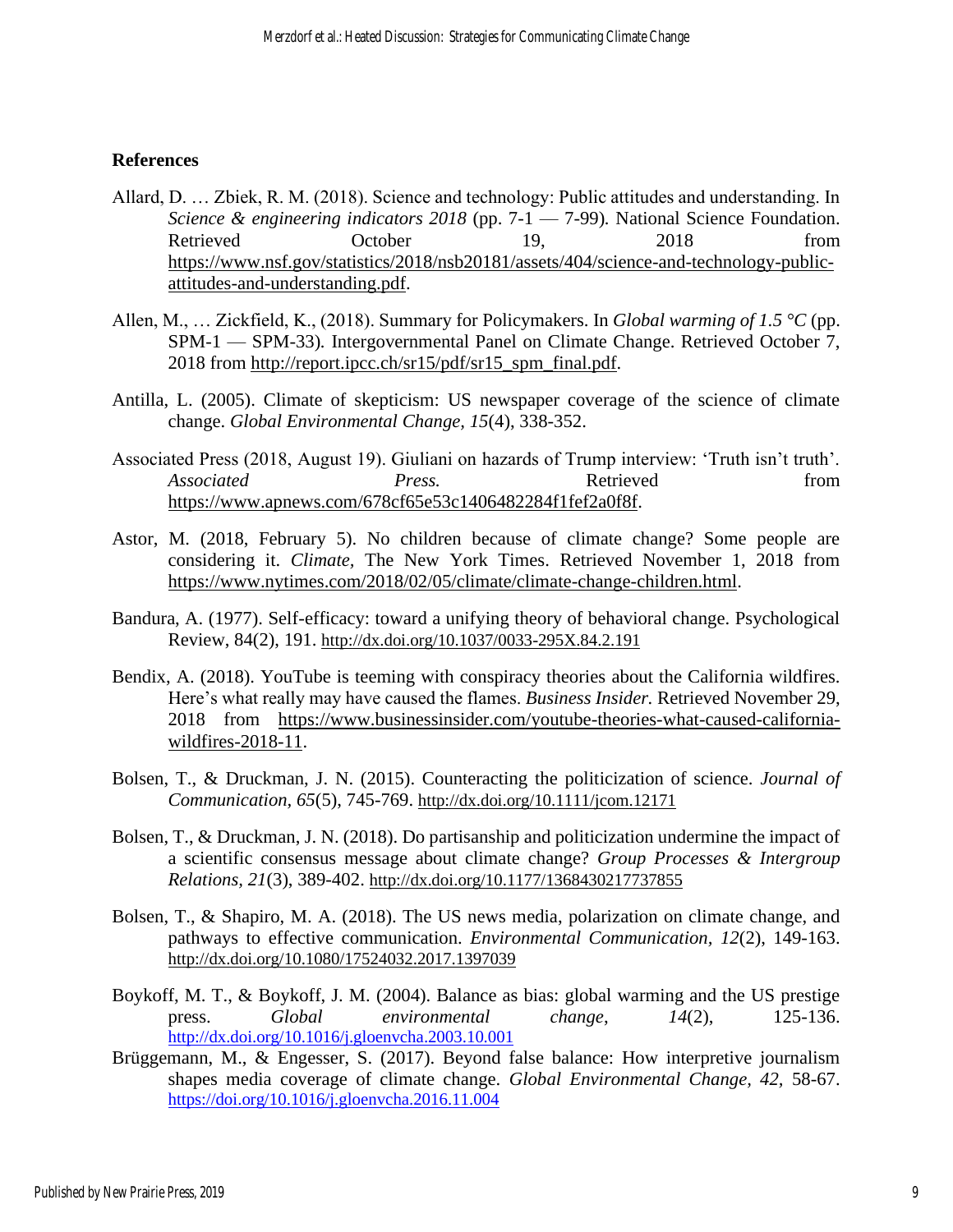#### **References**

- Allard, D. … Zbiek, R. M. (2018). Science and technology: Public attitudes and understanding. In *Science & engineering indicators 2018* (pp. 7-1 — 7-99)*.* National Science Foundation. Retrieved October 19, 2018 from [https://www.nsf.gov/statistics/2018/nsb20181/assets/404/science-and-technology-public](https://www.nsf.gov/statistics/2018/nsb20181/assets/404/science-and-technology-public-attitudes-and-understanding.pdf)[attitudes-and-understanding.pdf.](https://www.nsf.gov/statistics/2018/nsb20181/assets/404/science-and-technology-public-attitudes-and-understanding.pdf)
- Allen, M., … Zickfield, K., (2018). Summary for Policymakers. In *Global warming of 1.5 °C* (pp. SPM-1 — SPM-33)*.* Intergovernmental Panel on Climate Change. Retrieved October 7, 2018 from [http://report.ipcc.ch/sr15/pdf/sr15\\_spm\\_final.pdf.](http://report.ipcc.ch/sr15/pdf/sr15_spm_final.pdf)
- Antilla, L. (2005). Climate of skepticism: US newspaper coverage of the science of climate change. *Global Environmental Change, 15*(4), 338-352.
- Associated Press (2018, August 19). Giuliani on hazards of Trump interview: 'Truth isn't truth'. *Associated Press.* Press. Retrieved from [https://www.apnews.com/678cf65e53c1406482284f1fef2a0f8f.](https://www.apnews.com/678cf65e53c1406482284f1fef2a0f8f)
- Astor, M. (2018, February 5). No children because of climate change? Some people are considering it. *Climate,* The New York Times. Retrieved November 1, 2018 from [https://www.nytimes.com/2018/02/05/climate/climate-change-children.html.](https://www.nytimes.com/2018/02/05/climate/climate-change-children.html)
- Bandura, A. (1977). Self-efficacy: toward a unifying theory of behavioral change. Psychological Review, 84(2), 191. <http://dx.doi.org/10.1037/0033-295X.84.2.191>
- Bendix, A. (2018). YouTube is teeming with conspiracy theories about the California wildfires. Here's what really may have caused the flames. *Business Insider.* Retrieved November 29, 2018 from [https://www.businessinsider.com/youtube-theories-what-caused-california](https://www.businessinsider.com/youtube-theories-what-caused-california-wildfires-2018-11)[wildfires-2018-11.](https://www.businessinsider.com/youtube-theories-what-caused-california-wildfires-2018-11)
- Bolsen, T., & Druckman, J. N. (2015). Counteracting the politicization of science. *Journal of Communication, 65*(5), 745-769. <http://dx.doi.org/10.1111/jcom.12171>
- Bolsen, T., & Druckman, J. N. (2018). Do partisanship and politicization undermine the impact of a scientific consensus message about climate change? *Group Processes & Intergroup Relations, 21*(3), 389-402. <http://dx.doi.org/10.1177/1368430217737855>
- Bolsen, T., & Shapiro, M. A. (2018). The US news media, polarization on climate change, and pathways to effective communication. *Environmental Communication, 12*(2), 149-163. <http://dx.doi.org/10.1080/17524032.2017.1397039>
- Boykoff, M. T., & Boykoff, J. M. (2004). Balance as bias: global warming and the US prestige press. *Global environmental change*, *14*(2), 125-136. <http://dx.doi.org/10.1016/j.gloenvcha.2003.10.001>
- Brüggemann, M., & Engesser, S. (2017). Beyond false balance: How interpretive journalism shapes media coverage of climate change. *Global Environmental Change, 42,* 58-67. <https://doi.org/10.1016/j.gloenvcha.2016.11.004>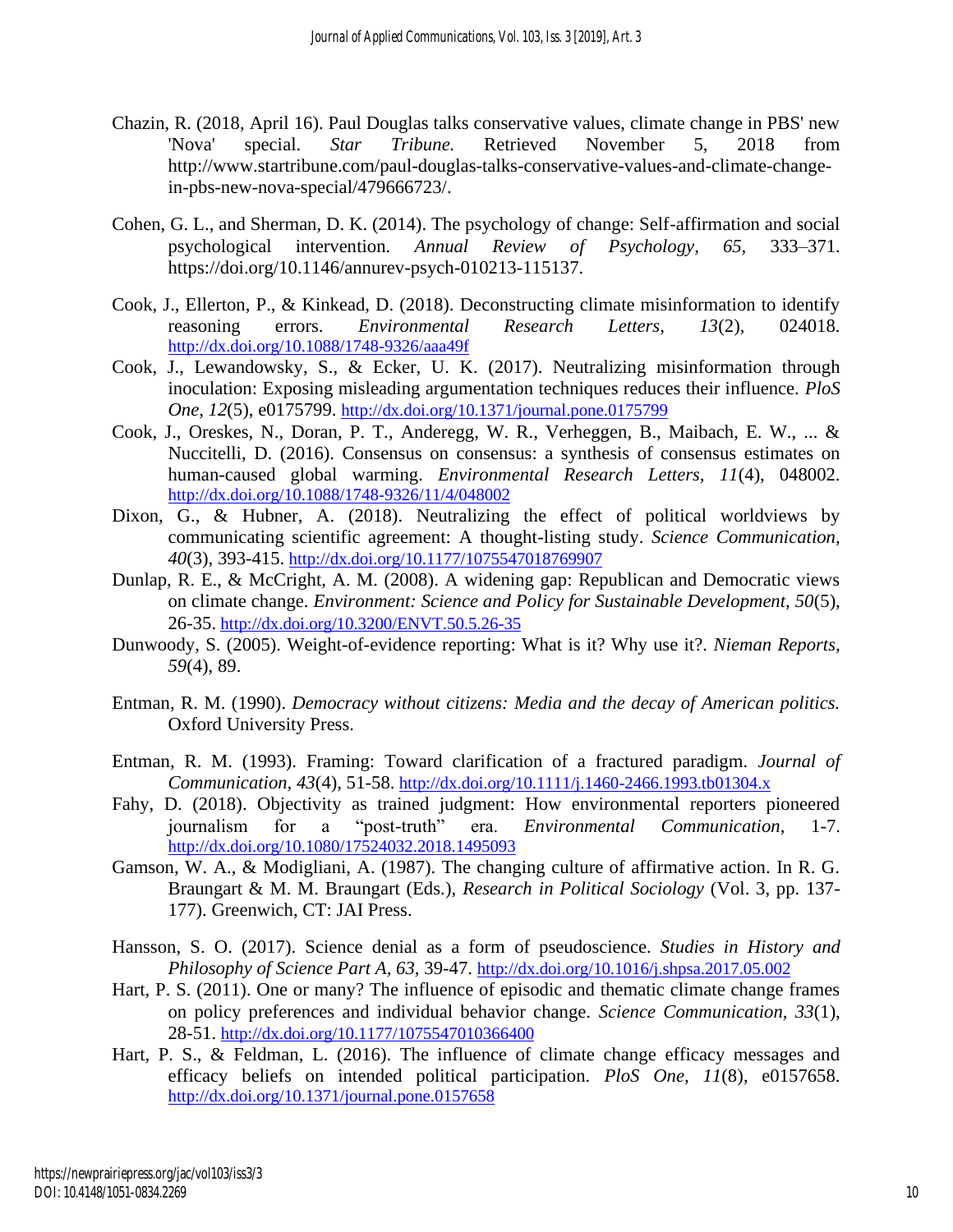- Chazin, R. (2018, April 16). Paul Douglas talks conservative values, climate change in PBS' new 'Nova' special. *Star Tribune.* Retrieved November 5, 2018 from http://www.startribune.com/paul-douglas-talks-conservative-values-and-climate-changein-pbs-new-nova-special/479666723/.
- Cohen, G. L., and Sherman, D. K. (2014). The psychology of change: Self-affirmation and social psychological intervention. *Annual Review of Psychology, 65,* 333–371. https://doi.org/10.1146/annurev-psych-010213-115137.
- Cook, J., Ellerton, P., & Kinkead, D. (2018). Deconstructing climate misinformation to identify reasoning errors. *Environmental Research Letters, 13*(2), 024018. <http://dx.doi.org/10.1088/1748-9326/aaa49f>
- Cook, J., Lewandowsky, S., & Ecker, U. K. (2017). Neutralizing misinformation through inoculation: Exposing misleading argumentation techniques reduces their influence. *PloS One, 12*(5), e0175799. <http://dx.doi.org/10.1371/journal.pone.0175799>
- Cook, J., Oreskes, N., Doran, P. T., Anderegg, W. R., Verheggen, B., Maibach, E. W., ... & Nuccitelli, D. (2016). Consensus on consensus: a synthesis of consensus estimates on human-caused global warming. *Environmental Research Letters, 11*(4), 048002. <http://dx.doi.org/10.1088/1748-9326/11/4/048002>
- Dixon, G., & Hubner, A. (2018). Neutralizing the effect of political worldviews by communicating scientific agreement: A thought-listing study. *Science Communication, 40*(3), 393-415. <http://dx.doi.org/10.1177/1075547018769907>
- Dunlap, R. E., & McCright, A. M. (2008). A widening gap: Republican and Democratic views on climate change. *Environment: Science and Policy for Sustainable Development, 50*(5), 26-35. <http://dx.doi.org/10.3200/ENVT.50.5.26-35>
- Dunwoody, S. (2005). Weight-of-evidence reporting: What is it? Why use it?. *Nieman Reports, 59*(4), 89.
- Entman, R. M. (1990). *Democracy without citizens: Media and the decay of American politics.* Oxford University Press.
- Entman, R. M. (1993). Framing: Toward clarification of a fractured paradigm. *Journal of Communication, 43*(4), 51-58. <http://dx.doi.org/10.1111/j.1460-2466.1993.tb01304.x>
- Fahy, D. (2018). Objectivity as trained judgment: How environmental reporters pioneered journalism for a "post-truth" era. *Environmental Communication,* 1-7. <http://dx.doi.org/10.1080/17524032.2018.1495093>
- Gamson, W. A., & Modigliani, A. (1987). The changing culture of affirmative action. In R. G. Braungart & M. M. Braungart (Eds.), *Research in Political Sociology* (Vol. 3, pp. 137- 177). Greenwich, CT: JAI Press.
- Hansson, S. O. (2017). Science denial as a form of pseudoscience. *Studies in History and Philosophy of Science Part A, 63,* 39-47. <http://dx.doi.org/10.1016/j.shpsa.2017.05.002>
- Hart, P. S. (2011). One or many? The influence of episodic and thematic climate change frames on policy preferences and individual behavior change. *Science Communication, 33*(1), 28-51. <http://dx.doi.org/10.1177/1075547010366400>
- Hart, P. S., & Feldman, L. (2016). The influence of climate change efficacy messages and efficacy beliefs on intended political participation. *PloS One, 11*(8), e0157658. <http://dx.doi.org/10.1371/journal.pone.0157658>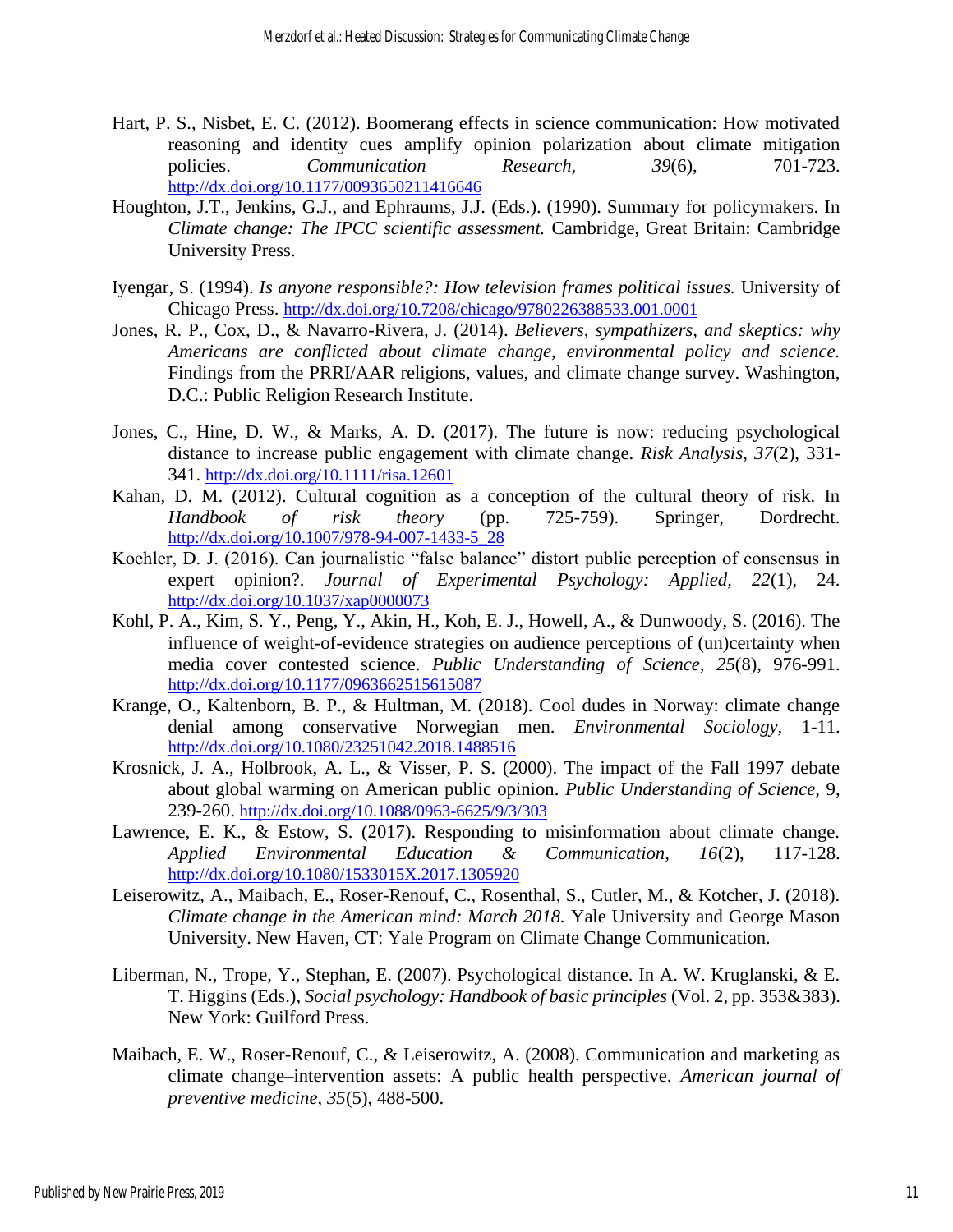- Hart, P. S., Nisbet, E. C. (2012). Boomerang effects in science communication: How motivated reasoning and identity cues amplify opinion polarization about climate mitigation policies. *Communication Research*, 39(6), 701-723. <http://dx.doi.org/10.1177/0093650211416646>
- Houghton, J.T., Jenkins, G.J., and Ephraums, J.J. (Eds.). (1990). Summary for policymakers. In *Climate change: The IPCC scientific assessment.* Cambridge, Great Britain: Cambridge University Press.
- Iyengar, S. (1994). *Is anyone responsible?: How television frames political issues.* University of Chicago Press. <http://dx.doi.org/10.7208/chicago/9780226388533.001.0001>
- Jones, R. P., Cox, D., & Navarro-Rivera, J. (2014). *Believers, sympathizers, and skeptics: why Americans are conflicted about climate change, environmental policy and science.*  Findings from the PRRI/AAR religions, values, and climate change survey. Washington, D.C.: Public Religion Research Institute.
- Jones, C., Hine, D. W., & Marks, A. D. (2017). The future is now: reducing psychological distance to increase public engagement with climate change. *Risk Analysis, 37*(2), 331- 341. <http://dx.doi.org/10.1111/risa.12601>
- Kahan, D. M. (2012). Cultural cognition as a conception of the cultural theory of risk. In *Handbook of risk theory* (pp. 725-759). Springer, Dordrecht. [http://dx.doi.org/10.1007/978-94-007-1433-5\\_28](http://dx.doi.org/10.1007/978-94-007-1433-5_28)
- Koehler, D. J. (2016). Can journalistic "false balance" distort public perception of consensus in expert opinion?. *Journal of Experimental Psychology: Applied, 22*(1), 24. <http://dx.doi.org/10.1037/xap0000073>
- Kohl, P. A., Kim, S. Y., Peng, Y., Akin, H., Koh, E. J., Howell, A., & Dunwoody, S. (2016). The influence of weight-of-evidence strategies on audience perceptions of (un)certainty when media cover contested science. *Public Understanding of Science, 25*(8), 976-991. <http://dx.doi.org/10.1177/0963662515615087>
- Krange, O., Kaltenborn, B. P., & Hultman, M. (2018). Cool dudes in Norway: climate change denial among conservative Norwegian men. *Environmental Sociology,* 1-11. <http://dx.doi.org/10.1080/23251042.2018.1488516>
- Krosnick, J. A., Holbrook, A. L., & Visser, P. S. (2000). The impact of the Fall 1997 debate about global warming on American public opinion. *Public Understanding of Science,* 9, 239-260. <http://dx.doi.org/10.1088/0963-6625/9/3/303>
- Lawrence, E. K., & Estow, S. (2017). Responding to misinformation about climate change. *Applied Environmental Education & Communication, 16*(2), 117-128. <http://dx.doi.org/10.1080/1533015X.2017.1305920>
- Leiserowitz, A., Maibach, E., Roser-Renouf, C., Rosenthal, S., Cutler, M., & Kotcher, J. (2018). *Climate change in the American mind: March 2018.* Yale University and George Mason University. New Haven, CT: Yale Program on Climate Change Communication.
- Liberman, N., Trope, Y., Stephan, E. (2007). Psychological distance. In A. W. Kruglanski, & E. T. Higgins (Eds.), *Social psychology: Handbook of basic principles* (Vol. 2, pp. 353&383). New York: Guilford Press.
- Maibach, E. W., Roser-Renouf, C., & Leiserowitz, A. (2008). Communication and marketing as climate change–intervention assets: A public health perspective. *American journal of preventive medicine*, *35*(5), 488-500.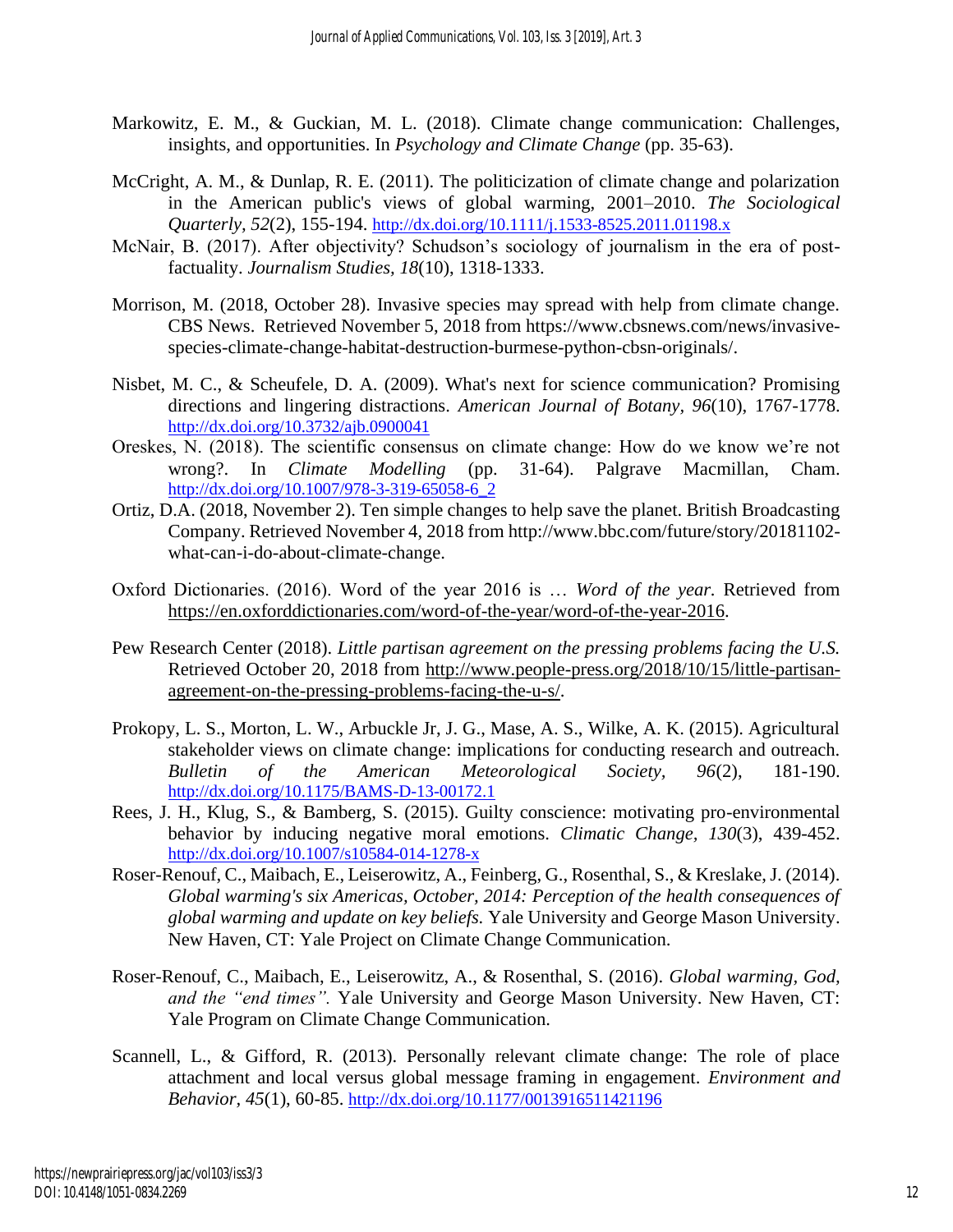- Markowitz, E. M., & Guckian, M. L. (2018). Climate change communication: Challenges, insights, and opportunities. In *Psychology and Climate Change* (pp. 35-63).
- McCright, A. M., & Dunlap, R. E. (2011). The politicization of climate change and polarization in the American public's views of global warming, 2001–2010. *The Sociological Quarterly, 52*(2), 155-194. <http://dx.doi.org/10.1111/j.1533-8525.2011.01198.x>
- McNair, B. (2017). After objectivity? Schudson's sociology of journalism in the era of postfactuality. *Journalism Studies, 18*(10), 1318-1333.
- Morrison, M. (2018, October 28). Invasive species may spread with help from climate change. CBS News. Retrieved November 5, 2018 from [https://www.cbsnews.com/news/invasive](https://www.cbsnews.com/news/invasive-species-climate-change-habitat-destruction-burmese-python-cbsn-originals/)[species-climate-change-habitat-destruction-burmese-python-cbsn-originals/.](https://www.cbsnews.com/news/invasive-species-climate-change-habitat-destruction-burmese-python-cbsn-originals/)
- Nisbet, M. C., & Scheufele, D. A. (2009). What's next for science communication? Promising directions and lingering distractions. *American Journal of Botany, 96*(10), 1767-1778. <http://dx.doi.org/10.3732/ajb.0900041>
- Oreskes, N. (2018). The scientific consensus on climate change: How do we know we're not wrong?. In *Climate Modelling* (pp. 31-64). Palgrave Macmillan, Cham. [http://dx.doi.org/10.1007/978-3-319-65058-6\\_2](http://dx.doi.org/10.1007/978-3-319-65058-6_2)
- Ortiz, D.A. (2018, November 2). Ten simple changes to help save the planet. British Broadcasting Company. Retrieved November 4, 2018 fro[m http://www.bbc.com/future/story/20181102](http://www.bbc.com/future/story/20181102-what-can-i-do-about-climate-change) [what-can-i-do-about-climate-change.](http://www.bbc.com/future/story/20181102-what-can-i-do-about-climate-change)
- Oxford Dictionaries. (2016). Word of the year 2016 is … *Word of the year.* Retrieved from [https://en.oxforddictionaries.com/word-of-the-year/word-of-the-year-2016.](https://en.oxforddictionaries.com/word-of-the-year/word-of-the-year-2016)
- Pew Research Center (2018). *Little partisan agreement on the pressing problems facing the U.S.* Retrieved October 20, 2018 from [http://www.people-press.org/2018/10/15/little-partisan](http://www.people-press.org/2018/10/15/little-partisan-agreement-on-the-pressing-problems-facing-the-u-s/)[agreement-on-the-pressing-problems-facing-the-u-s/.](http://www.people-press.org/2018/10/15/little-partisan-agreement-on-the-pressing-problems-facing-the-u-s/)
- Prokopy, L. S., Morton, L. W., Arbuckle Jr, J. G., Mase, A. S., Wilke, A. K. (2015). Agricultural stakeholder views on climate change: implications for conducting research and outreach. *Bulletin of the American Meteorological Society, 96*(2), 181-190. <http://dx.doi.org/10.1175/BAMS-D-13-00172.1>
- Rees, J. H., Klug, S., & Bamberg, S. (2015). Guilty conscience: motivating pro-environmental behavior by inducing negative moral emotions. *Climatic Change, 130*(3), 439-452. <http://dx.doi.org/10.1007/s10584-014-1278-x>
- Roser-Renouf, C., Maibach, E., Leiserowitz, A., Feinberg, G., Rosenthal, S., & Kreslake, J. (2014). *Global warming's six Americas, October, 2014: Perception of the health consequences of global warming and update on key beliefs.* Yale University and George Mason University. New Haven, CT: Yale Project on Climate Change Communication.
- Roser-Renouf, C., Maibach, E., Leiserowitz, A., & Rosenthal, S. (2016). *Global warming, God, and the "end times".* Yale University and George Mason University. New Haven, CT: Yale Program on Climate Change Communication.
- Scannell, L., & Gifford, R. (2013). Personally relevant climate change: The role of place attachment and local versus global message framing in engagement. *Environment and Behavior, 45*(1), 60-85. <http://dx.doi.org/10.1177/0013916511421196>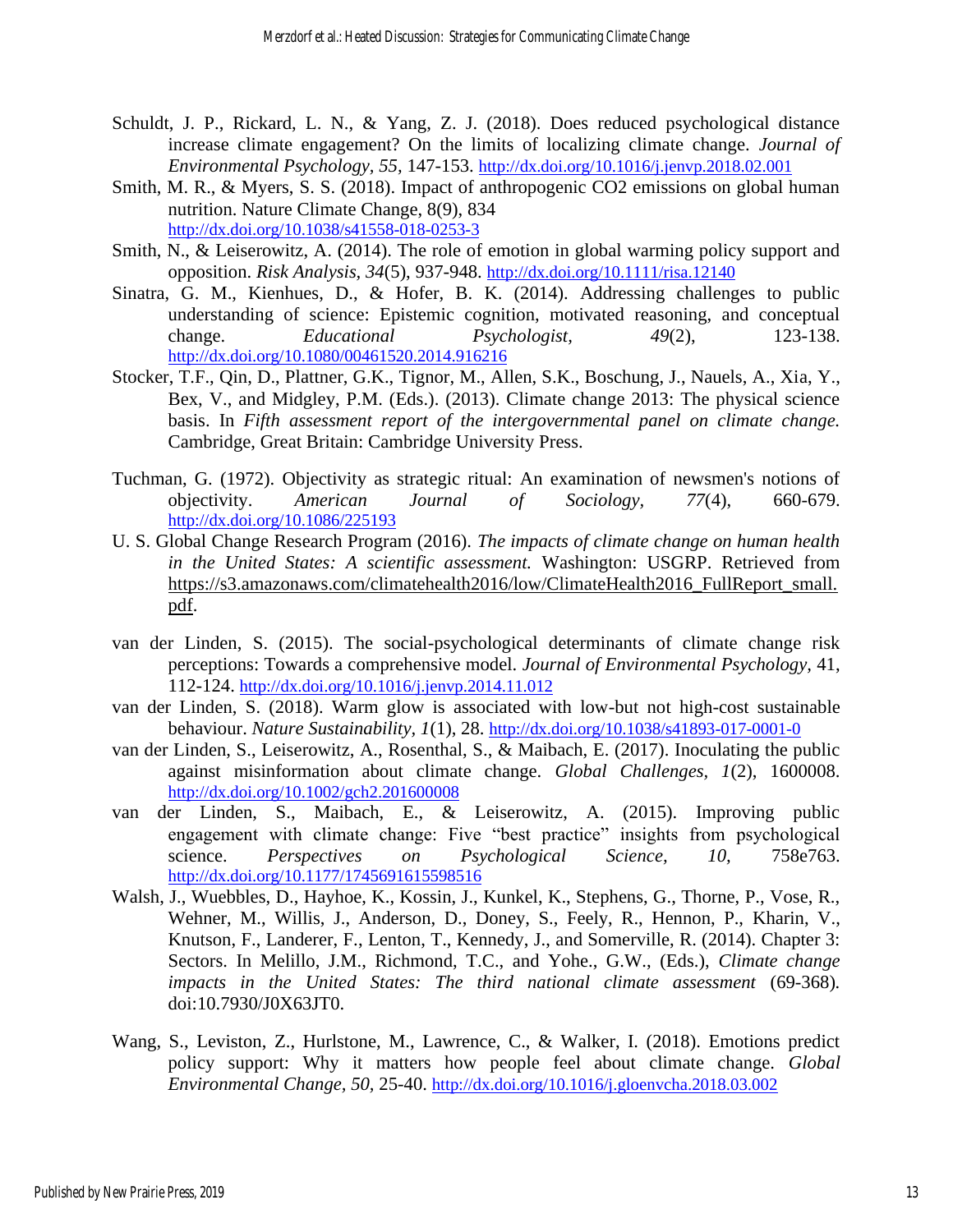- Schuldt, J. P., Rickard, L. N., & Yang, Z. J. (2018). Does reduced psychological distance increase climate engagement? On the limits of localizing climate change. *Journal of Environmental Psychology, 55,* 147-153. <http://dx.doi.org/10.1016/j.jenvp.2018.02.001>
- Smith, M. R., & Myers, S. S. (2018). Impact of anthropogenic CO2 emissions on global human nutrition. Nature Climate Change, 8(9), 834 <http://dx.doi.org/10.1038/s41558-018-0253-3>
- Smith, N., & Leiserowitz, A. (2014). The role of emotion in global warming policy support and opposition. *Risk Analysis, 34*(5), 937-948. <http://dx.doi.org/10.1111/risa.12140>
- Sinatra, G. M., Kienhues, D., & Hofer, B. K. (2014). Addressing challenges to public understanding of science: Epistemic cognition, motivated reasoning, and conceptual change. *Educational Psychologist, 49*(2), 123-138. <http://dx.doi.org/10.1080/00461520.2014.916216>
- Stocker, T.F., Qin, D., Plattner, G.K., Tignor, M., Allen, S.K., Boschung, J., Nauels, A., Xia, Y., Bex, V., and Midgley, P.M. (Eds.). (2013). Climate change 2013: The physical science basis. In *Fifth assessment report of the intergovernmental panel on climate change.* Cambridge, Great Britain: Cambridge University Press.
- Tuchman, G. (1972). Objectivity as strategic ritual: An examination of newsmen's notions of objectivity. *American Journal of Sociology, 77*(4), 660-679. <http://dx.doi.org/10.1086/225193>
- U. S. Global Change Research Program (2016). *The impacts of climate change on human health in the United States: A scientific assessment.* Washington: USGRP. Retrieved from [https://s3.amazonaws.com/climatehealth2016/low/ClimateHealth2016\\_FullReport\\_small.](https://s3.amazonaws.com/climatehealth2016/low/ClimateHealth2016_FullReport_small.pdf) [pdf.](https://s3.amazonaws.com/climatehealth2016/low/ClimateHealth2016_FullReport_small.pdf)
- van der Linden, S. (2015). The social-psychological determinants of climate change risk perceptions: Towards a comprehensive model. *Journal of Environmental Psychology,* 41, 112-124. <http://dx.doi.org/10.1016/j.jenvp.2014.11.012>
- van der Linden, S. (2018). Warm glow is associated with low-but not high-cost sustainable behaviour. *Nature Sustainability, 1*(1), 28. <http://dx.doi.org/10.1038/s41893-017-0001-0>
- van der Linden, S., Leiserowitz, A., Rosenthal, S., & Maibach, E. (2017). Inoculating the public against misinformation about climate change. *Global Challenges, 1*(2), 1600008. <http://dx.doi.org/10.1002/gch2.201600008>
- van der Linden, S., Maibach, E., & Leiserowitz, A. (2015). Improving public engagement with climate change: Five "best practice" insights from psychological science. *Perspectives on Psychological Science, 10,* 758e763. <http://dx.doi.org/10.1177/1745691615598516>
- Walsh, J., Wuebbles, D., Hayhoe, K., Kossin, J., Kunkel, K., Stephens, G., Thorne, P., Vose, R., Wehner, M., Willis, J., Anderson, D., Doney, S., Feely, R., Hennon, P., Kharin, V., Knutson, F., Landerer, F., Lenton, T., Kennedy, J., and Somerville, R. (2014). Chapter 3: Sectors. In Melillo, J.M., Richmond, T.C., and Yohe., G.W., (Eds.), *Climate change impacts in the United States: The third national climate assessment* (69-368)*.* doi:10.7930/J0X63JT0.
- Wang, S., Leviston, Z., Hurlstone, M., Lawrence, C., & Walker, I. (2018). Emotions predict policy support: Why it matters how people feel about climate change. *Global Environmental Change, 50,* 25-40. <http://dx.doi.org/10.1016/j.gloenvcha.2018.03.002>